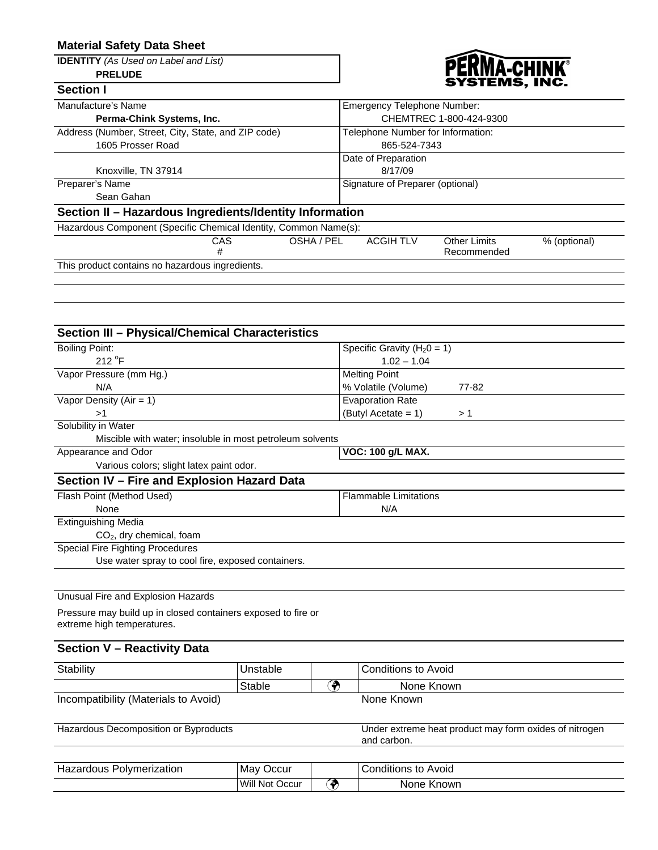# **Material Safety Data Sheet**

**IDENTITY** *(As Used on Label and List)* **PRELUDE**



| <b>Section I</b>                                                 | STSIEMS, ING.                                                         |
|------------------------------------------------------------------|-----------------------------------------------------------------------|
| Manufacture's Name                                               | <b>Emergency Telephone Number:</b>                                    |
| Perma-Chink Systems, Inc.                                        | CHEMTREC 1-800-424-9300                                               |
| Address (Number, Street, City, State, and ZIP code)              | Telephone Number for Information:                                     |
| 1605 Prosser Road                                                | 865-524-7343                                                          |
|                                                                  | Date of Preparation                                                   |
| Knoxville, TN 37914                                              | 8/17/09                                                               |
| Preparer's Name                                                  | Signature of Preparer (optional)                                      |
| Sean Gahan                                                       |                                                                       |
| Section II - Hazardous Ingredients/Identity Information          |                                                                       |
| Hazardous Component (Specific Chemical Identity, Common Name(s): |                                                                       |
| CAS                                                              | OSHA / PEL<br><b>ACGIH TLV</b><br><b>Other Limits</b><br>% (optional) |
| #                                                                | Recommended                                                           |
| This product contains no hazardous ingredients.                  |                                                                       |
|                                                                  |                                                                       |

| <b>Section III - Physical/Chemical Characteristics</b>    |                                 |  |  |
|-----------------------------------------------------------|---------------------------------|--|--|
| <b>Boiling Point:</b>                                     | Specific Gravity ( $H_20 = 1$ ) |  |  |
| 212 $\degree$ F                                           | $1.02 - 1.04$                   |  |  |
| Vapor Pressure (mm Hg.)                                   | <b>Melting Point</b>            |  |  |
| N/A                                                       | % Volatile (Volume)<br>77-82    |  |  |
| Vapor Density ( $Air = 1$ )                               | <b>Evaporation Rate</b>         |  |  |
| >1                                                        | (Butyl Acetate = $1$ )<br>>1    |  |  |
| Solubility in Water                                       |                                 |  |  |
| Miscible with water; insoluble in most petroleum solvents |                                 |  |  |
| Appearance and Odor                                       | <b>VOC: 100 g/L MAX.</b>        |  |  |
| Various colors; slight latex paint odor.                  |                                 |  |  |
| Section IV - Fire and Explosion Hazard Data               |                                 |  |  |
| Flash Point (Method Used)                                 | <b>Flammable Limitations</b>    |  |  |
| None                                                      | N/A                             |  |  |
| <b>Extinguishing Media</b>                                |                                 |  |  |
| $CO2$ , dry chemical, foam                                |                                 |  |  |
| Special Fire Fighting Procedures                          |                                 |  |  |
| Use water spray to cool fire, exposed containers.         |                                 |  |  |
|                                                           |                                 |  |  |
| Unusual Fire and Explosion Hazards                        |                                 |  |  |

Pressure may build up in closed containers exposed to fire or extreme high temperatures.

# **Section V – Reactivity Data**

| Stability                            | Unstable | Conditions to Avoid |
|--------------------------------------|----------|---------------------|
|                                      | Stable   | None Known          |
| Incompatibility (Materials to Avoid) |          | None Known          |

Hazardous Decomposition or Byproducts Under extreme heat product may form oxides of nitrogen and carbon.

| Polymerization<br>Hazardous | Occur<br>Mav        | Conditions to Avoid |
|-----------------------------|---------------------|---------------------|
|                             | Will Not C<br>Occur | None Known          |